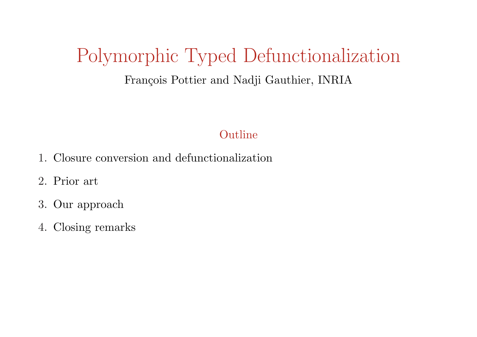# Polymorphic Typed Defunctionalization

# François Pottier and Nadji Gauthier, INRIA

## Outline

- 1. Closure conversion and defunctionalization
- 2. Prior art
- 3. Our approach
- 4. Closing remarks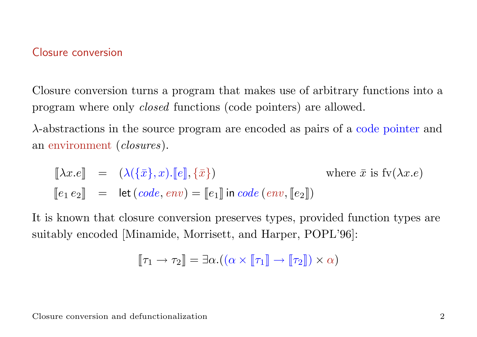#### Closure conversion

Closure conversion turns a program that makes use of arbitrary functions into a program where only closed functions (code pointers) are allowed.

λ-abstractions in the source program are encoded as pairs of a code pointer and an environment (closures).

 $[\![\lambda x.e]\!] = (\lambda(\{\bar{x}\}, x). [\![e]\!], \{\bar{x}\})$  where  $\bar{x}$  is  $f\nu(\lambda x.e)$  $\llbracket e_1 \, e_2 \rrbracket = \text{let}(code, env) = \llbracket e_1 \rrbracket \text{ in code}(env, \llbracket e_2 \rrbracket)$ 

It is known that closure conversion preserves types, provided function types are suitably encoded [Minamide, Morrisett, and Harper, POPL'96]:

$$
\llbracket \tau_1 \to \tau_2 \rrbracket = \exists \alpha . ((\alpha \times \llbracket \tau_1 \rrbracket \to \llbracket \tau_2 \rrbracket) \times \alpha)
$$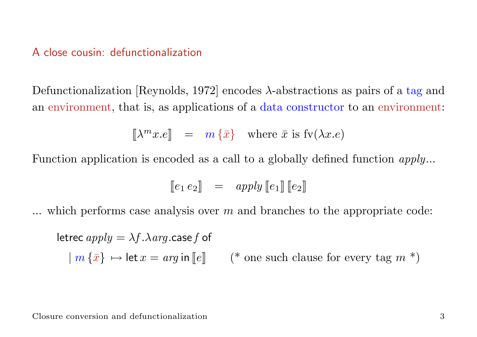#### A close cousin: defunctionalization

Defunctionalization [Reynolds, 1972] encodes  $\lambda$ -abstractions as pairs of a tag and an environment, that is, as applications of a data constructor to an environment:

 $\|\lambda^m x.e\| = m \{\bar{x}\}\$  where  $\bar{x}$  is  $f_v(\lambda x.e)$ 

Function application is encoded as a call to a globally defined function  $apply...$ 

$$
\llbracket e_1 \, e_2 \rrbracket \quad = \quad apply \llbracket e_1 \rrbracket \llbracket e_2 \rrbracket
$$

 $\ldots$  which performs case analysis over m and branches to the appropriate code:

letrec  $apply = \lambda f.\lambda arg.case f$  of  $|m \{\bar{x}\}\mapsto \text{let }x = arg \text{ in }\mathbb{R}$  (\* one such clause for every tag m \*)

Closure conversion and defunctionalization 3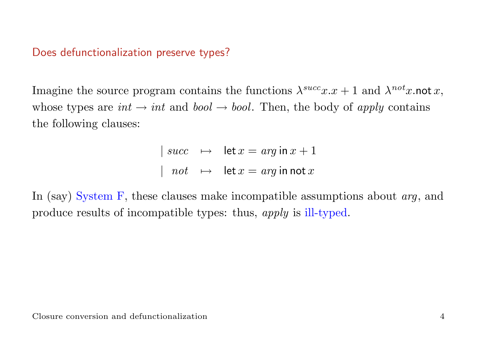# Does defunctionalization preserve types?

Imagine the source program contains the functions  $\lambda^{succ}x.x + 1$  and  $\lambda^{not}x$ .not x, whose types are  $int \rightarrow int$  and  $bool \rightarrow bool$ . Then, the body of apply contains the following clauses:

$$
\begin{array}{rcl} \mid succ & \mapsto & \mathsf{let}\,x = arg\,\mathsf{in}\,x + 1 \\ \mid & not & \mapsto & \mathsf{let}\,x = arg\,\mathsf{in}\,\mathsf{not}\,x \end{array}
$$

In (say) System F, these clauses make incompatible assumptions about *arg*, and produce results of incompatible types: thus, apply is ill-typed.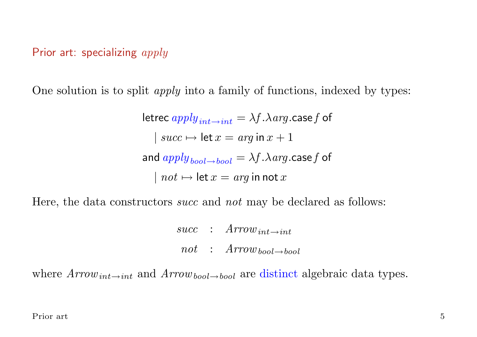Prior art: specializing apply

One solution is to split apply into a family of functions, indexed by types:

letrec  $apply_{int\rightarrow int} = \lambda f.\lambda arg.$ case f of  $| succ \mapsto let x = arg in x + 1$ and  $apply_{bool \rightarrow bool} = \lambda f. \lambda arg. \text{case} f$  of  $| not \mapsto let x = arg in not x$ 

Here, the data constructors *succ* and *not* may be declared as follows:

 $succ$  :  $Arrow_{int\rightarrow int}$  $not : Arrow_{bool \rightarrow bool}$ 

where  $Arrow_{int\rightarrow int}$  and  $Arrow_{bool\rightarrow bool}$  are distinct algebraic data types.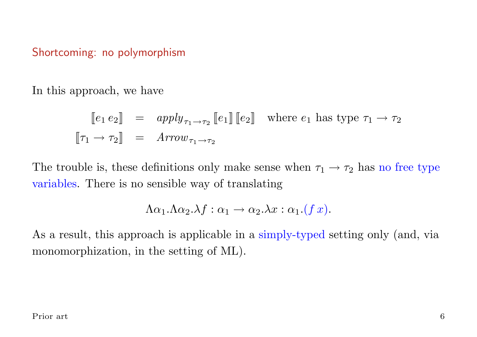### Shortcoming: no polymorphism

In this approach, we have

$$
\begin{array}{rcl}\n[e_1 \, e_2] & = & apply_{\tau_1 \to \tau_2} \left[ e_1 \right] \left[ e_2 \right] \quad \text{where } e_1 \text{ has type } \tau_1 \to \tau_2 \\
[\![\tau_1 \to \tau_2]\!] & = & Arrow_{\tau_1 \to \tau_2}\n\end{array}
$$

The trouble is, these definitions only make sense when  $\tau_1 \rightarrow \tau_2$  has no free type variables. There is no sensible way of translating

$$
\Lambda \alpha_1.\Lambda \alpha_2.\lambda f : \alpha_1 \to \alpha_2.\lambda x : \alpha_1.(f x).
$$

As a result, this approach is applicable in a simply-typed setting only (and, via monomorphization, in the setting of ML).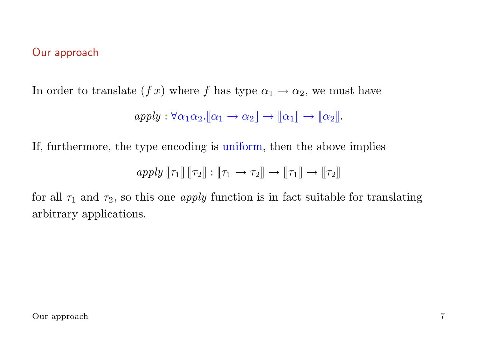## Our approach

In order to translate  $(f x)$  where f has type  $\alpha_1 \rightarrow \alpha_2$ , we must have

$$
apply: \forall \alpha_1 \alpha_2. [\![\alpha_1 \rightarrow \alpha_2]\!] \rightarrow [\![\alpha_1]\!] \rightarrow [\![\alpha_2]\!].
$$

If, furthermore, the type encoding is uniform, then the above implies

$$
apply \[\![\tau_1]\!] \[\![\tau_2]\!] : [\![\tau_1 \to \tau_2]\!] \to [\![\tau_1]\!] \to [\![\tau_2]\!]
$$

for all  $\tau_1$  and  $\tau_2$ , so this one *apply* function is in fact suitable for translating arbitrary applications.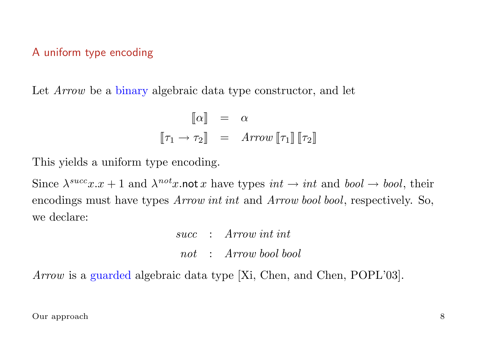#### A uniform type encoding

Let *Arrow* be a binary algebraic data type constructor, and let

$$
\begin{array}{rcl}\n\llbracket \alpha \rrbracket & = & \alpha \\
\llbracket \tau_1 \to \tau_2 \rrbracket & = & Arrow \llbracket \tau_1 \rrbracket \llbracket \tau_2 \rrbracket\n\end{array}
$$

This yields a uniform type encoding.

Since  $\lambda^{succ}x.x + 1$  and  $\lambda^{not}x$  not x have types  $int \rightarrow int$  and  $bool \rightarrow bool$ , their encodings must have types Arrow int int and Arrow bool bool, respectively. So, we declare:

> succ : Arrow int int not : Arrow bool bool

Arrow is a guarded algebraic data type [Xi, Chen, and Chen, POPL'03].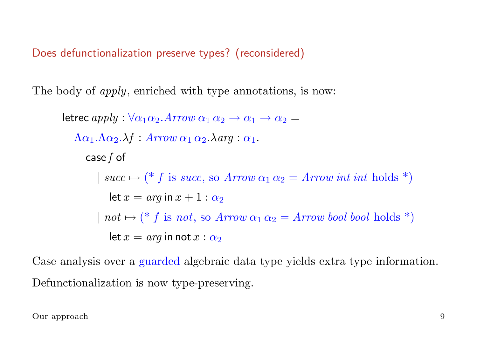Does defunctionalization preserve types? (reconsidered)

The body of *apply*, enriched with type annotations, is now:

```
letrec apply : \forall \alpha_1 \alpha_2. Arrow \alpha_1 \alpha_2 \rightarrow \alpha_1 \rightarrow \alpha_2 =\Lambda \alpha_1.\Lambda \alpha_2.\lambda f : Arrow \alpha_1 \alpha_2.\lambda arg : \alpha_1.case f of
           | succ \mapsto (* f is succ, so Arrow \alpha_1 \alpha_2 = Arrow int int holds *)
              let x = arg in x + 1 : \alpha_2| not \mapsto (* f is not, so Arrow \alpha_1 \alpha_2 = Arrow bool bool holds *)
              let x = arg in not x : \alpha_2
```
Case analysis over a guarded algebraic data type yields extra type information. Defunctionalization is now type-preserving.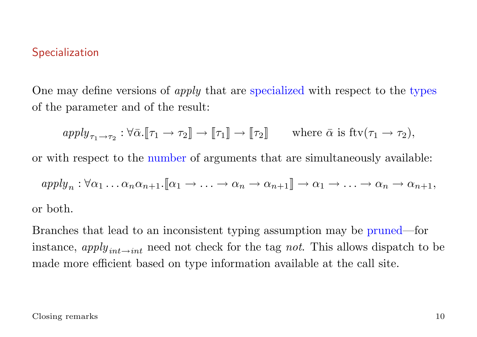## **Specialization**

One may define versions of *apply* that are specialized with respect to the types of the parameter and of the result:

$$
apply_{\tau_1 \to \tau_2} : \forall \bar{\alpha}. [\![\tau_1 \to \tau_2]\!] \to [\![\tau_1]\!] \to [\![\tau_2]\!] \qquad \text{where } \bar{\alpha} \text{ is } \text{ftv}(\tau_1 \to \tau_2),
$$

or with respect to the number of arguments that are simultaneously available:

$$
apply_n: \forall \alpha_1 \dots \alpha_n \alpha_{n+1}.[\![\alpha_1 \to \dots \to \alpha_n \to \alpha_{n+1}]\!] \to \alpha_1 \to \dots \to \alpha_n \to \alpha_{n+1},
$$
  
or both.

Branches that lead to an inconsistent typing assumption may be pruned—for instance, apply<sub>int→int</sub> need not check for the tag not. This allows dispatch to be made more efficient based on type information available at the call site.